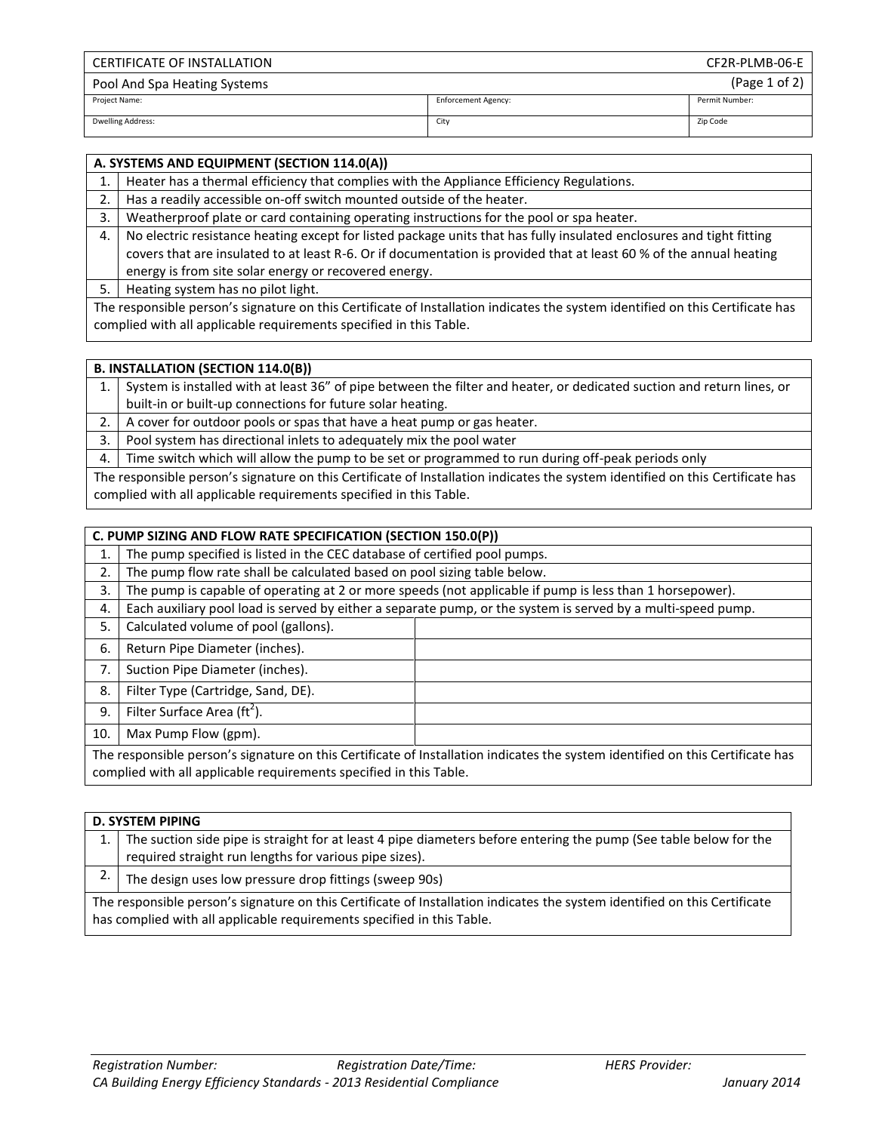| <b>CERTIFICATE OF INSTALLATION</b> |                            | CF2R-PLMB-06-E |
|------------------------------------|----------------------------|----------------|
| Pool And Spa Heating Systems       |                            | (Page 1 of 2)  |
| Project Name:                      | <b>Enforcement Agency:</b> | Permit Number: |
| <b>Dwelling Address:</b>           | City                       | Zip Code       |

|    | A. SYSTEMS AND EQUIPMENT (SECTION 114.0(A))                                                                                    |
|----|--------------------------------------------------------------------------------------------------------------------------------|
|    | Heater has a thermal efficiency that complies with the Appliance Efficiency Regulations.                                       |
| 2. | Has a readily accessible on-off switch mounted outside of the heater.                                                          |
| 3. | Weatherproof plate or card containing operating instructions for the pool or spa heater.                                       |
| 4. | No electric resistance heating except for listed package units that has fully insulated enclosures and tight fitting           |
|    | covers that are insulated to at least R-6. Or if documentation is provided that at least 60 % of the annual heating            |
|    | energy is from site solar energy or recovered energy.                                                                          |
| 5. | Heating system has no pilot light.                                                                                             |
|    | The responsible person's signature on this Certificate of Installation indicates the system identified on this Certificate has |
|    | complied with all applicable requirements specified in this Table.                                                             |

|                                                                                                                                | <b>B. INSTALLATION (SECTION 114.0(B))</b>                                                                              |  |  |  |  |
|--------------------------------------------------------------------------------------------------------------------------------|------------------------------------------------------------------------------------------------------------------------|--|--|--|--|
|                                                                                                                                | System is installed with at least 36" of pipe between the filter and heater, or dedicated suction and return lines, or |  |  |  |  |
|                                                                                                                                | built-in or built-up connections for future solar heating.                                                             |  |  |  |  |
| 2.                                                                                                                             | A cover for outdoor pools or spas that have a heat pump or gas heater.                                                 |  |  |  |  |
| 3.                                                                                                                             | Pool system has directional inlets to adequately mix the pool water                                                    |  |  |  |  |
| 4.                                                                                                                             | Time switch which will allow the pump to be set or programmed to run during off-peak periods only                      |  |  |  |  |
| The responsible person's signature on this Certificate of Installation indicates the system identified on this Certificate has |                                                                                                                        |  |  |  |  |
|                                                                                                                                | complied with all applicable requirements specified in this Table.                                                     |  |  |  |  |

| C. PUMP SIZING AND FLOW RATE SPECIFICATION (SECTION 150.0(P)) |                                                                                                                                                                                                      |  |  |  |  |
|---------------------------------------------------------------|------------------------------------------------------------------------------------------------------------------------------------------------------------------------------------------------------|--|--|--|--|
| 1.                                                            | The pump specified is listed in the CEC database of certified pool pumps.                                                                                                                            |  |  |  |  |
| 2.                                                            | The pump flow rate shall be calculated based on pool sizing table below.                                                                                                                             |  |  |  |  |
| 3.                                                            | The pump is capable of operating at 2 or more speeds (not applicable if pump is less than 1 horsepower).                                                                                             |  |  |  |  |
| 4.                                                            | Each auxiliary pool load is served by either a separate pump, or the system is served by a multi-speed pump.                                                                                         |  |  |  |  |
| 5.                                                            | Calculated volume of pool (gallons).                                                                                                                                                                 |  |  |  |  |
| 6.                                                            | Return Pipe Diameter (inches).                                                                                                                                                                       |  |  |  |  |
| 7.                                                            | Suction Pipe Diameter (inches).                                                                                                                                                                      |  |  |  |  |
| 8.                                                            | Filter Type (Cartridge, Sand, DE).                                                                                                                                                                   |  |  |  |  |
| 9.                                                            | Filter Surface Area (ft <sup>2</sup> ).                                                                                                                                                              |  |  |  |  |
| 10.                                                           | Max Pump Flow (gpm).                                                                                                                                                                                 |  |  |  |  |
|                                                               | The responsible person's signature on this Certificate of Installation indicates the system identified on this Certificate has<br>complied with all applicable requirements specified in this Table. |  |  |  |  |

**D. SYSTEM PIPING** 1. The suction side pipe is straight for at least 4 pipe diameters before entering the pump (See table below for the required straight run lengths for various pipe sizes). 2. The design uses low pressure drop fittings (sweep 90s) The responsible person's signature on this Certificate of Installation indicates the system identified on this Certificate has complied with all applicable requirements specified in this Table.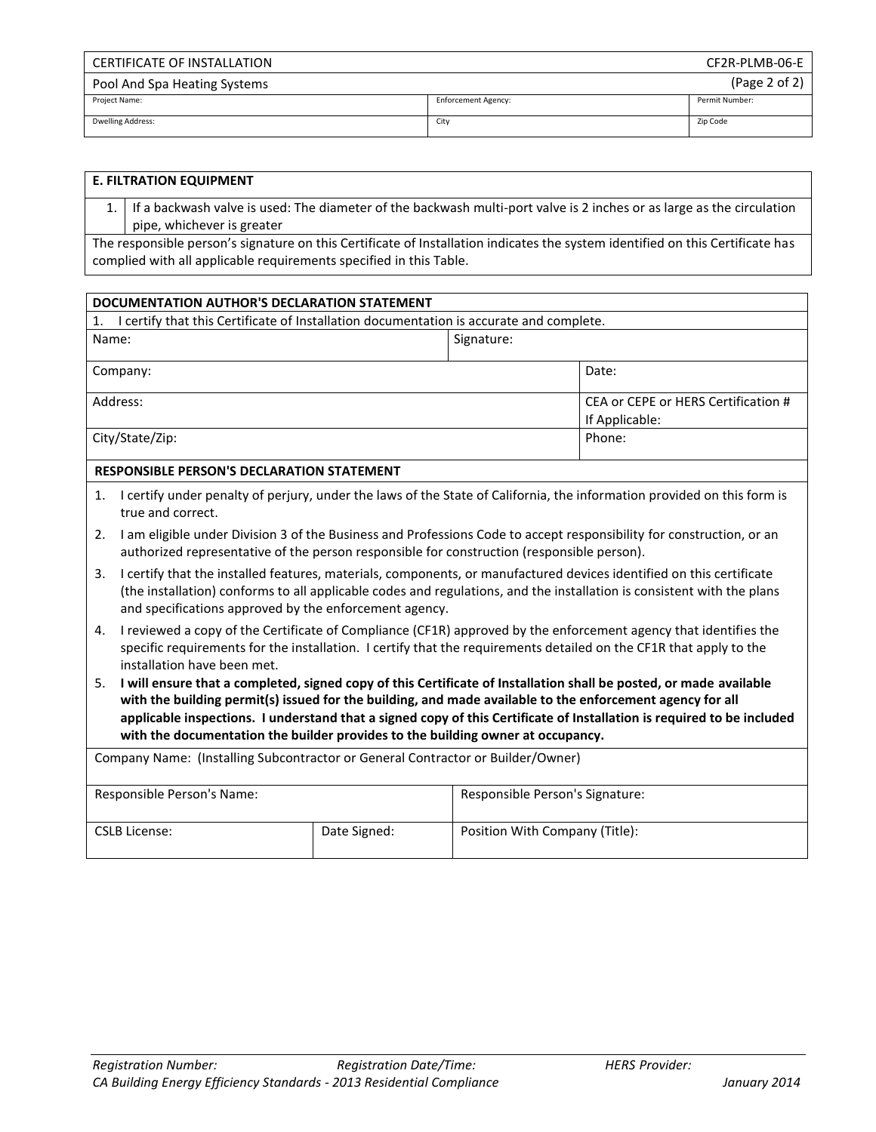| CERTIFICATE OF INSTALLATION  |                            | CF2R-PLMB-06-E |
|------------------------------|----------------------------|----------------|
| Pool And Spa Heating Systems |                            | (Page 2 of 2)  |
| Project Name:                | <b>Enforcement Agency:</b> | Permit Number: |
| <b>Dwelling Address:</b>     | City                       | Zip Code       |

| <b>E. FILTRATION EQUIPMENT</b>                                                                                                 |
|--------------------------------------------------------------------------------------------------------------------------------|
| If a backwash valve is used: The diameter of the backwash multi-port valve is 2 inches or as large as the circulation          |
| pipe, whichever is greater                                                                                                     |
| The responsible person's signature on this Certificate of Installation indicates the system identified on this Certificate has |
| complied with all applicable requirements specified in this Table.                                                             |
|                                                                                                                                |

| DOCUMENTATION AUTHOR'S DECLARATION STATEMENT                                                  |            |                                                       |  |  |
|-----------------------------------------------------------------------------------------------|------------|-------------------------------------------------------|--|--|
| I certify that this Certificate of Installation documentation is accurate and complete.<br>1. |            |                                                       |  |  |
| Name:                                                                                         | Signature: |                                                       |  |  |
| Company:                                                                                      |            | Date:                                                 |  |  |
| Address:                                                                                      |            | CEA or CEPE or HERS Certification #<br>If Applicable: |  |  |
| City/State/Zip:                                                                               |            | Phone:                                                |  |  |

## **RESPONSIBLE PERSON'S DECLARATION STATEMENT**

- 1. I certify under penalty of perjury, under the laws of the State of California, the information provided on this form is true and correct.
- 2. I am eligible under Division 3 of the Business and Professions Code to accept responsibility for construction, or an authorized representative of the person responsible for construction (responsible person).
- 3. I certify that the installed features, materials, components, or manufactured devices identified on this certificate (the installation) conforms to all applicable codes and regulations, and the installation is consistent with the plans and specifications approved by the enforcement agency.
- 4. I reviewed a copy of the Certificate of Compliance (CF1R) approved by the enforcement agency that identifies the specific requirements for the installation. I certify that the requirements detailed on the CF1R that apply to the installation have been met.
- 5. **I will ensure that a completed, signed copy of this Certificate of Installation shall be posted, or made available with the building permit(s) issued for the building, and made available to the enforcement agency for all applicable inspections. I understand that a signed copy of this Certificate of Installation is required to be included with the documentation the builder provides to the building owner at occupancy.**

| Company Name: (Installing Subcontractor or General Contractor or Builder/Owner) |  |                                 |  |
|---------------------------------------------------------------------------------|--|---------------------------------|--|
| Responsible Person's Name:                                                      |  | Responsible Person's Signature: |  |
| Date Signed:<br><b>CSLB License:</b>                                            |  | Position With Company (Title):  |  |